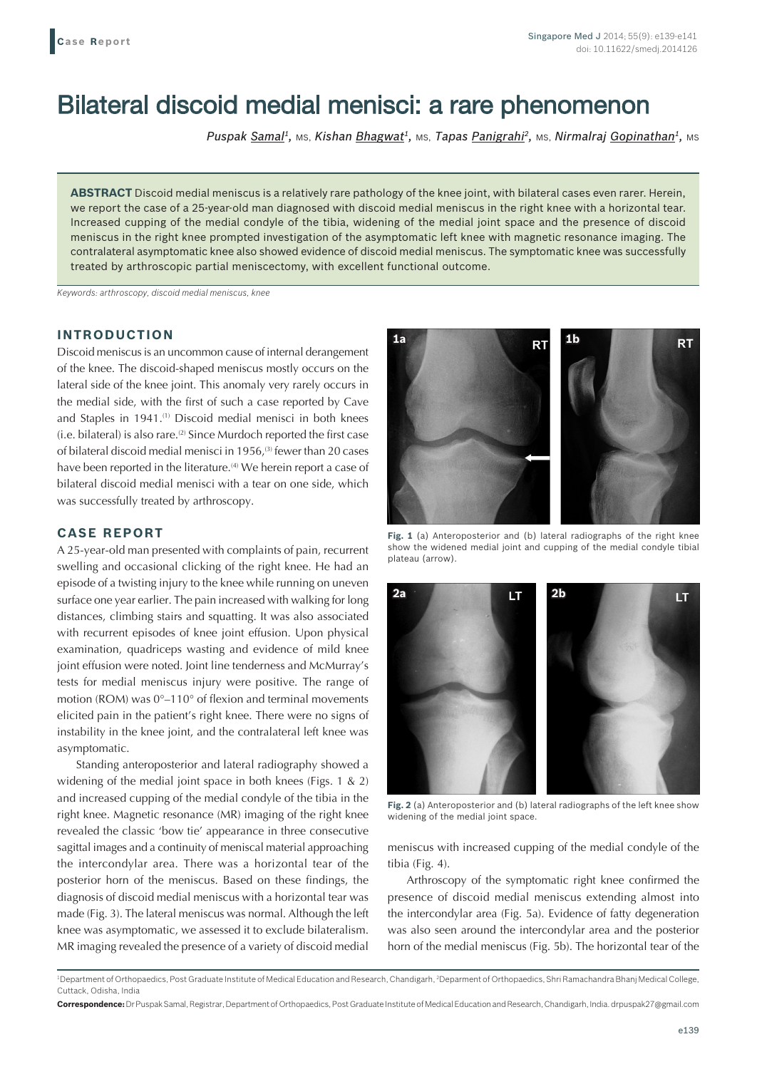# Bilateral discoid medial menisci: a rare phenomenon

*Puspak Samal1,* MS, *Kishan Bhagwat1,* MS, *Tapas Panigrahi2,* MS, *Nirmalraj Gopinathan1,* MS

**ABSTRACT** Discoid medial meniscus is a relatively rare pathology of the knee joint, with bilateral cases even rarer. Herein, we report the case of a 25-year-old man diagnosed with discoid medial meniscus in the right knee with a horizontal tear. Increased cupping of the medial condyle of the tibia, widening of the medial joint space and the presence of discoid meniscus in the right knee prompted investigation of the asymptomatic left knee with magnetic resonance imaging. The contralateral asymptomatic knee also showed evidence of discoid medial meniscus. The symptomatic knee was successfully treated by arthroscopic partial meniscectomy, with excellent functional outcome.

*Keywords: arthroscopy, discoid medial meniscus, knee*

## **INTRODUCTION**

Discoid meniscus is an uncommon cause of internal derangement of the knee. The discoid‑shaped meniscus mostly occurs on the lateral side of the knee joint. This anomaly very rarely occurs in the medial side, with the first of such a case reported by Cave and Staples in 1941.<sup>(1)</sup> Discoid medial menisci in both knees  $(i.e. 1)$  bilateral) is also rare.<sup>(2)</sup> Since Murdoch reported the first case of bilateral discoid medial menisci in 1956,<sup>(3)</sup> fewer than 20 cases have been reported in the literature.<sup>(4)</sup> We herein report a case of bilateral discoid medial menisci with a tear on one side, which was successfully treated by arthroscopy.

### **CASE REPORT**

A 25-year-old man presented with complaints of pain, recurrent swelling and occasional clicking of the right knee. He had an episode of a twisting injury to the knee while running on uneven surface one year earlier. The pain increased with walking for long distances, climbing stairs and squatting. It was also associated with recurrent episodes of knee joint effusion. Upon physical examination, quadriceps wasting and evidence of mild knee joint effusion were noted. Joint line tenderness and McMurray's tests for medial meniscus injury were positive. The range of motion (ROM) was 0°–110° of flexion and terminal movements elicited pain in the patient's right knee. There were no signs of instability in the knee joint, and the contralateral left knee was asymptomatic.

Standing anteroposterior and lateral radiography showed a widening of the medial joint space in both knees (Figs. 1 & 2) and increased cupping of the medial condyle of the tibia in the right knee. Magnetic resonance (MR) imaging of the right knee revealed the classic 'bow tie' appearance in three consecutive sagittal images and a continuity of meniscal material approaching the intercondylar area. There was a horizontal tear of the posterior horn of the meniscus. Based on these findings, the diagnosis of discoid medial meniscus with a horizontal tear was made (Fig. 3). The lateral meniscus was normal. Although the left knee was asymptomatic, we assessed it to exclude bilateralism. MR imaging revealed the presence of a variety of discoid medial







**Fig. 2** (a) Anteroposterior and (b) lateral radiographs of the left knee show widening of the medial joint space.

meniscus with increased cupping of the medial condyle of the tibia (Fig. 4).

Arthroscopy of the symptomatic right knee confirmed the presence of discoid medial meniscus extending almost into the intercondylar area (Fig. 5a). Evidence of fatty degeneration was also seen around the intercondylar area and the posterior horn of the medial meniscus (Fig. 5b). The horizontal tear of the

**Correspondence:** DrPuspak Samal, Registrar, Department of Orthopaedics, Post Graduate Institute of Medical Education and Research, Chandigarh, India. drpuspak27@gmail.com

<sup>&</sup>lt;sup>1</sup>Department of Orthopaedics, Post Graduate Institute of Medical Education and Research, Chandigarh, <sup>2</sup>Deparment of Orthopaedics, Shri Ramachandra Bhanj Medical College, Cuttack, Odisha, India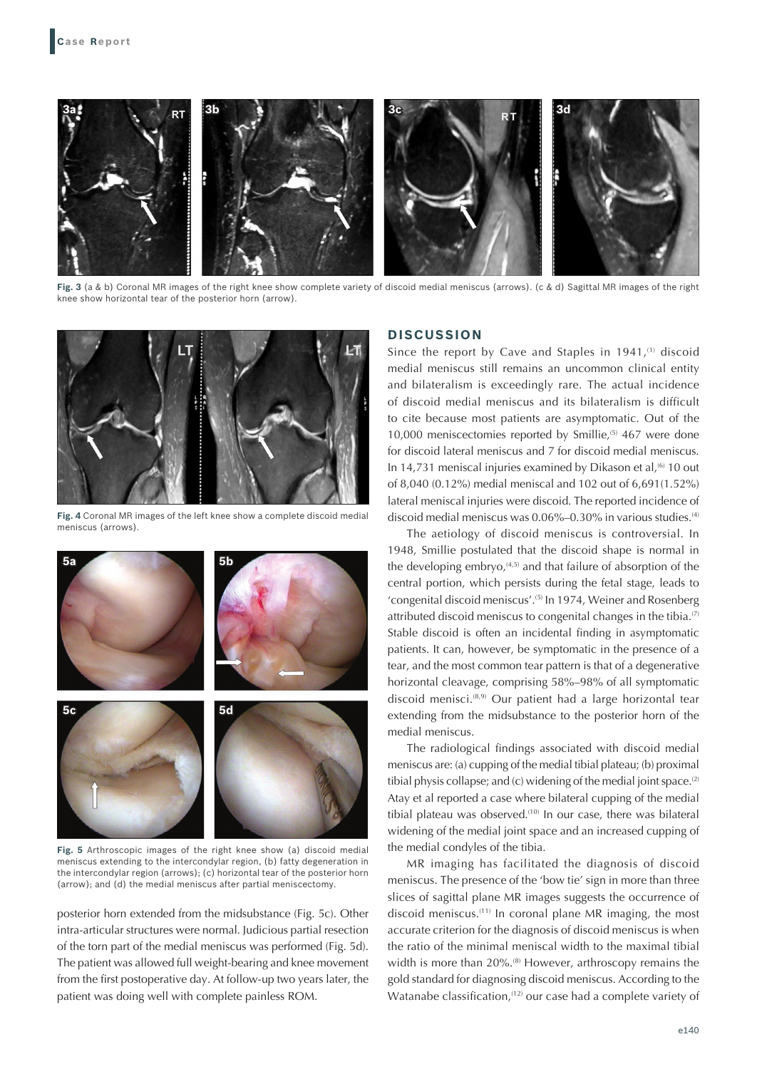

**Fig. 3** (a & b) Coronal MR images of the right knee show complete variety of discoid medial meniscus (arrows). (c & d) Sagittal MR images of the right knee show horizontal tear of the posterior horn (arrow).



**Fig. 4** Coronal MR images of the left knee show a complete discoid medial meniscus (arrows).



**Fig. 5** Arthroscopic images of the right knee show (a) discoid medial meniscus extending to the intercondylar region, (b) fatty degeneration in the intercondylar region (arrows); (c) horizontal tear of the posterior horn (arrow); and (d) the medial meniscus after partial meniscectomy.

posterior horn extended from the midsubstance (Fig. 5c). Other intra-articular structures were normal. Judicious partial resection of the torn part of the medial meniscus was performed (Fig. 5d). The patient was allowed full weight-bearing and knee movement from the first postoperative day. At follow-up two years later, the patient was doing well with complete painless ROM.

#### **DISCUSSION**

Since the report by Cave and Staples in  $1941<sub>1</sub>$ <sup>(1)</sup> discoid medial meniscus still remains an uncommon clinical entity and bilateralism is exceedingly rare. The actual incidence of discoid medial meniscus and its bilateralism is difficult to cite because most patients are asymptomatic. Out of the 10,000 meniscectomies reported by Smillie,<sup>(5)</sup> 467 were done for discoid lateral meniscus and 7 for discoid medial meniscus. In 14,731 meniscal injuries examined by Dikason et al,  $(6)$  10 out of 8,040 (0.12%) medial meniscal and 102 out of 6,691(1.52%) lateral meniscal injuries were discoid. The reported incidence of discoid medial meniscus was  $0.06\% - 0.30\%$  in various studies.<sup>(4)</sup>

The aetiology of discoid meniscus is controversial. In 1948, Smillie postulated that the discoid shape is normal in the developing embryo, $(4,5)$  and that failure of absorption of the central portion, which persists during the fetal stage, leads to 'congenital discoid meniscus'.<sup>(5)</sup> In 1974, Weiner and Rosenberg attributed discoid meniscus to congenital changes in the tibia.<sup>(7)</sup> Stable discoid is often an incidental finding in asymptomatic patients. It can, however, be symptomatic in the presence of a tear, and the most common tear pattern is that of a degenerative horizontal cleavage, comprising 58%–98% of all symptomatic discoid menisci.<sup>(8,9)</sup> Our patient had a large horizontal tear extending from the midsubstance to the posterior horn of the medial meniscus.

The radiological findings associated with discoid medial meniscus are: (a) cupping of the medial tibial plateau; (b) proximal tibial physis collapse; and (c) widening of the medial joint space.<sup>(2)</sup> Atay et al reported a case where bilateral cupping of the medial tibial plateau was observed. $(10)$  In our case, there was bilateral widening of the medial joint space and an increased cupping of the medial condyles of the tibia.

MR imaging has facilitated the diagnosis of discoid meniscus. The presence of the 'bow tie' sign in more than three slices of sagittal plane MR images suggests the occurrence of discoid meniscus.(11) In coronal plane MR imaging, the most accurate criterion for the diagnosis of discoid meniscus is when the ratio of the minimal meniscal width to the maximal tibial width is more than 20%.<sup>(8)</sup> However, arthroscopy remains the gold standard for diagnosing discoid meniscus. According to the Watanabe classification,<sup>(12)</sup> our case had a complete variety of